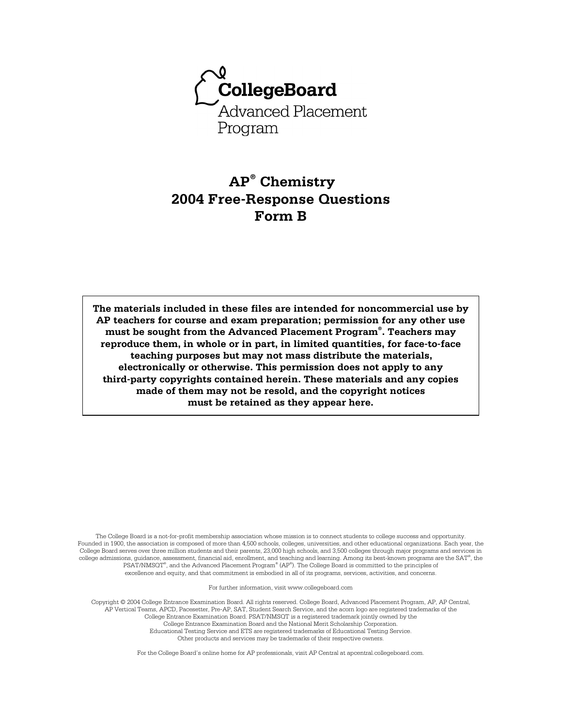

# **AP® Chemistry 2004 Free-Response Questions Form B**

**The materials included in these files are intended for noncommercial use by AP teachers for course and exam preparation; permission for any other use must be sought from the Advanced Placement Program® . Teachers may reproduce them, in whole or in part, in limited quantities, for face-to-face teaching purposes but may not mass distribute the materials, electronically or otherwise. This permission does not apply to any third-party copyrights contained herein. These materials and any copies made of them may not be resold, and the copyright notices must be retained as they appear here.** 

The College Board is a not-for-profit membership association whose mission is to connect students to college success and opportunity. Founded in 1900, the association is composed of more than 4,500 schools, colleges, universities, and other educational organizations. Each year, the College Board serves over three million students and their parents, 23,000 high schools, and 3,500 colleges through major programs and services in college admissions, guidance, assessment, financial aid, enrollment, and teaching and learning. Among its best-known programs are the SAT®, the PSAT/NMSQT® , and the Advanced Placement Program® (AP® ). The College Board is committed to the principles of excellence and equity, and that commitment is embodied in all of its programs, services, activities, and concerns.

For further information, visit www.collegeboard.com

Copyright © 2004 College Entrance Examination Board. All rights reserved. College Board, Advanced Placement Program, AP, AP Central, AP Vertical Teams, APCD, Pacesetter, Pre-AP, SAT, Student Search Service, and the acorn logo are registered trademarks of the College Entrance Examination Board. PSAT/NMSQT is a registered trademark jointly owned by the College Entrance Examination Board and the National Merit Scholarship Corporation. Educational Testing Service and ETS are registered trademarks of Educational Testing Service. Other products and services may be trademarks of their respective owners.

For the College Board's online home for AP professionals, visit AP Central at apcentral.collegeboard.com.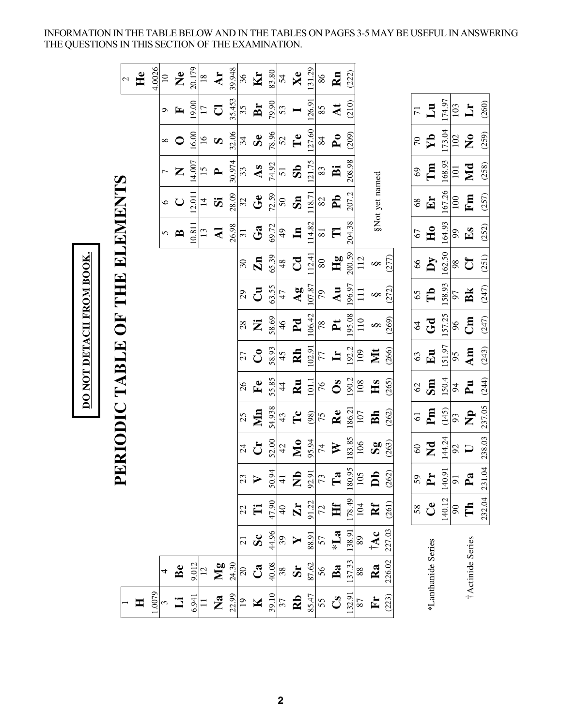INFORMATION IN THE TABLE BELOW AND IN THE TABLES ON PAGES 3-5 MAY BE USEFUL IN ANSWERING THE QUESTIONS IN THIS SECTION OF THE EXAMINATION.

| 20.179<br>39.948<br>4.0026<br>He<br>$\mathbf{\Sigma}$<br>Kr<br>Ar<br>36<br>$\frac{8}{18}$<br>$\Xi$<br>$\mathcal{L}$<br>35.453<br>19.00<br>Br<br>35<br>J<br>$\overline{17}$<br>E<br>$\sigma$<br>32.06<br>16.00<br>Se<br>$\overline{16}$<br>34<br>$\Omega$<br>$\bullet$<br>30.974<br>14.007<br>As<br>15<br>33<br>Z<br>$\mathbf{L}$<br>7<br>ERIODIC TABLE OF THE ELEMENTS<br>28.09<br>12.011<br>$G$ e<br>32<br>$\ddot{\bm{z}}$<br>$\vec{4}$<br>$\cup$<br>$\circ$ | 83.80<br>54<br>79.90<br>53<br>78.96<br>$52\,$<br>74.92<br>$\overline{51}$<br>72.59<br>$50\,$<br>69.72<br>$\frac{4}{9}$<br>65.39<br>48 | Xe<br>$\mathbf{T} \mathbf{e}$<br>$\mathbf{S}$<br>$\mathbf{S}$ n<br>$\mathbf{u}$<br>$C_{\mathbf{d}}$ | 131.29<br>126.91<br>127.60<br>121.75<br>118.71<br>114.82 | Rn<br>$\,86$<br>At<br>85<br>$\mathbf{P}_{\mathbf{O}}$<br>84<br>$\ddot{\mathbf{B}}$<br>83<br>P <sub>b</sub><br>$82\,$<br>$\Box$<br>$\overline{\bf 8}$ | (222)<br>(210)<br>(209)<br>208.98<br>207.2<br>204.38 |                                  | §Not yet named                     | Lu<br>$\overline{71}$<br>$\mathbf{N}$<br>70<br>Tm<br>69<br>$E_{\mathbf{r}}$<br>68 | 174.97<br>173.04<br>168.93<br>167.26 | 103<br>102<br>101<br>100 | $\mathbf{L}$<br>$\mathbf{\hat{z}}$<br>Md<br>Fm | (260)<br>(259)<br>(258) |
|---------------------------------------------------------------------------------------------------------------------------------------------------------------------------------------------------------------------------------------------------------------------------------------------------------------------------------------------------------------------------------------------------------------------------------------------------------------|---------------------------------------------------------------------------------------------------------------------------------------|-----------------------------------------------------------------------------------------------------|----------------------------------------------------------|------------------------------------------------------------------------------------------------------------------------------------------------------|------------------------------------------------------|----------------------------------|------------------------------------|-----------------------------------------------------------------------------------|--------------------------------------|--------------------------|------------------------------------------------|-------------------------|
|                                                                                                                                                                                                                                                                                                                                                                                                                                                               |                                                                                                                                       |                                                                                                     |                                                          |                                                                                                                                                      |                                                      |                                  |                                    |                                                                                   |                                      |                          |                                                |                         |
|                                                                                                                                                                                                                                                                                                                                                                                                                                                               |                                                                                                                                       |                                                                                                     |                                                          |                                                                                                                                                      |                                                      |                                  |                                    |                                                                                   |                                      |                          |                                                |                         |
|                                                                                                                                                                                                                                                                                                                                                                                                                                                               |                                                                                                                                       |                                                                                                     |                                                          |                                                                                                                                                      |                                                      |                                  |                                    |                                                                                   |                                      |                          |                                                |                         |
|                                                                                                                                                                                                                                                                                                                                                                                                                                                               |                                                                                                                                       |                                                                                                     |                                                          |                                                                                                                                                      |                                                      |                                  |                                    |                                                                                   |                                      |                          |                                                |                         |
|                                                                                                                                                                                                                                                                                                                                                                                                                                                               |                                                                                                                                       |                                                                                                     |                                                          |                                                                                                                                                      |                                                      |                                  |                                    |                                                                                   |                                      |                          |                                                | (257)                   |
| 26.98<br>10.811<br>Ga<br>$\mathbf{z}$<br>$\frac{13}{2}$<br>$\overline{\mathbf{31}}$<br>$\mathbf{B}$<br>5                                                                                                                                                                                                                                                                                                                                                      |                                                                                                                                       |                                                                                                     |                                                          |                                                                                                                                                      |                                                      |                                  |                                    | H <sub>0</sub><br>67                                                              | 164.93                               | 66                       | $E_{\mathbf{S}}$                               | (252)                   |
| $\mathbf{Zn}$<br>$\overline{30}$                                                                                                                                                                                                                                                                                                                                                                                                                              |                                                                                                                                       |                                                                                                     | 12.41                                                    | Hg<br>$\rm 80$                                                                                                                                       | 200.59                                               | 112                              | (277)<br>$\infty$                  | $\mathbf{y}$<br>66                                                                | 162.50                               | 98                       | Cf                                             | (251)                   |
| $\vec{C}$<br>29                                                                                                                                                                                                                                                                                                                                                                                                                                               | 63.55<br>47                                                                                                                           | $\mathbf{A}\mathbf{g}$                                                                              | 107.87                                                   | Au<br>$\mathcal{L}$                                                                                                                                  | 196.97                                               | $\Xi$                            | (272)<br>$\infty$                  | Tb<br>65                                                                          | 158.93                               | 60                       | Bk                                             | (247)                   |
| Ż<br>28                                                                                                                                                                                                                                                                                                                                                                                                                                                       | 58.69<br>46                                                                                                                           | P <sub>d</sub>                                                                                      | 106.42                                                   | $\mathbf{r}$<br>$78\,$                                                                                                                               | 195.08                                               | 110                              | (269)<br>$\infty$                  | Gd<br>64                                                                          | 157.25                               | 96                       | $\mathbb{E}$                                   | (247)                   |
| $\mathbf{C}^{\bullet}$<br>27                                                                                                                                                                                                                                                                                                                                                                                                                                  | 58.93<br>45                                                                                                                           | Rh                                                                                                  | 102.91                                                   | $\mathbf{H}$<br>77                                                                                                                                   | 192.2                                                | 109                              | Nt<br>(266)                        | $E_{\mathbf{u}}$<br>63                                                            | 151.97                               | 95                       | Am                                             | (243)                   |
| $F$ e<br>26                                                                                                                                                                                                                                                                                                                                                                                                                                                   | 55.85<br>$\ddot{4}$                                                                                                                   | $\mathbf{R}$ u                                                                                      | 101.1                                                    | $\mathbf{S}$<br>$\gamma_6$                                                                                                                           | 190.2                                                | Hs<br>108                        | (265)                              | Sm<br>62                                                                          | 150.4                                | 64                       | $\mathbf{p}$                                   | (244)                   |
| Min<br>25                                                                                                                                                                                                                                                                                                                                                                                                                                                     | 54.938<br>43                                                                                                                          | $\mathbf{T}$ c                                                                                      | (98)                                                     | Re<br>75                                                                                                                                             | 186.21                                               | Bh<br>107                        | (262)                              | Pm<br>$\overline{61}$                                                             | (145)                                | 93                       | $\mathbf{z}$                                   | 237.05                  |
| $\mathbf{C}$<br>$\overline{24}$                                                                                                                                                                                                                                                                                                                                                                                                                               | 52.00<br>42                                                                                                                           | $\mathbf{M_0}$                                                                                      | 95.94                                                    | $\geqslant$<br>74                                                                                                                                    | 183.85                                               | 106                              | (263)<br>$\mathbf{S}_{\mathbf{S}}$ | $\Sigma$<br>$\degree$                                                             | 144.24                               | 92                       | $\Box$                                         | 238.03                  |
| 23<br>$\blacksquare$                                                                                                                                                                                                                                                                                                                                                                                                                                          | 50.94<br>$\overline{4}$                                                                                                               |                                                                                                     |                                                          | $\frac{5}{2}$<br>$\frac{5}{2}$<br>$\frac{1}{2}$<br>$\frac{1}{2}$<br>$\frac{1}{2}$<br>$\frac{1}{2}$                                                   | 180.95                                               | $\overline{105}$<br>$\mathbf{D}$ | (262)                              | 59<br>È                                                                           | 140.91                               | $\overline{5}$           | $\mathbf{a}$                                   | 231.04                  |
| Ë<br>22                                                                                                                                                                                                                                                                                                                                                                                                                                                       | 47.90<br>$\sqrt{4}$                                                                                                                   | $Z_{1.22}$                                                                                          |                                                          | Hf<br> 72                                                                                                                                            | 178.49                                               | R <sup>f</sup><br>104            | (261)                              | $\mathbf{C}$ e<br>58                                                              | 140.12                               | $90\,$                   | Γh                                             | 232.04                  |
| $\mathbf{S}$ c<br>$\overline{21}$                                                                                                                                                                                                                                                                                                                                                                                                                             | 44.96<br>39                                                                                                                           | $\blacktriangleright$                                                                               | $rac{88.91}{57}$                                         | $\sum_{i=1}^{n}$                                                                                                                                     | 138.91                                               | $\mathbf{A}$<br>89               | 227.03                             |                                                                                   |                                      |                          |                                                |                         |
| 9.012<br>24.30<br>$\mathbf{M}\mathbf{g}$<br>$\mathbf{C}$ a<br>Be<br>$20\,$<br>$\overline{c}$                                                                                                                                                                                                                                                                                                                                                                  | 40.08<br>$38$                                                                                                                         | ${\bf S}$                                                                                           | 87.62                                                    | Ba<br>56                                                                                                                                             | 137.33                                               | 88                               | 226.02<br>Ra                       | *Lanthanide Series                                                                |                                      |                          | †Actinide Series                               |                         |
| 1.0079<br>$\frac{22.99}{19}$<br>6.941<br>$\mathbf{z}$<br>$\overline{\mathbf{K}}$<br>$\ddot{\mathbf{u}}$<br>$\equiv$<br>Ξ                                                                                                                                                                                                                                                                                                                                      | 39.10<br>37                                                                                                                           | $\mathbf{Rb}$                                                                                       | 85.47                                                    | $\mathbf{c}_\mathbf{S}$<br>55                                                                                                                        | 132.91                                               | 87                               | (223)<br>$\mathbf{F}$              |                                                                                   |                                      |                          |                                                |                         |

DO NOT DETACH FROM BOOK.

**2**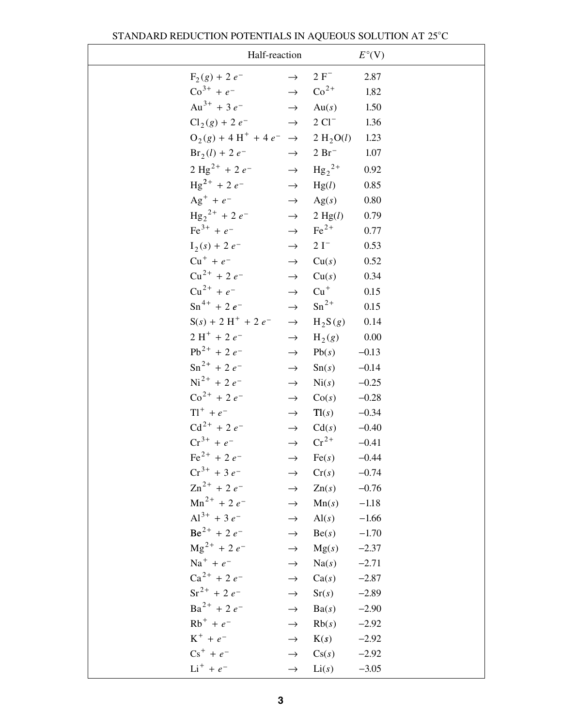|                                                              | Half-reaction                                            |                                 | $E^{\circ}$ (V)    |
|--------------------------------------------------------------|----------------------------------------------------------|---------------------------------|--------------------|
| $F_2(g) + 2e^-$                                              | $\rightarrow$                                            | $2 F^-$                         | 2.87               |
| $\text{Co}^{3+} + e^{-}$                                     |                                                          | $\rightarrow$ Co <sup>2+</sup>  | 1.82               |
| $Au^{3+} + 3e^{-}$                                           |                                                          | $\rightarrow$ Au(s)             | 1.50               |
|                                                              | $Cl_2(g) + 2e^ \rightarrow$ 2 $Cl^-$                     |                                 | 1.36               |
|                                                              | $O_2(g) + 4 H^+ + 4 e^- \rightarrow 2 H_2 O(l)$          |                                 | 1.23               |
| $Br_2(l) + 2e^-$                                             |                                                          | $\rightarrow$ 2 Br <sup>-</sup> | 1.07               |
|                                                              | $2 \text{ Hg}^{2+} + 2 e^ \rightarrow \text{ Hg}_2^{2+}$ |                                 | 0.92               |
| $\text{Hg}^{2+}$ + 2 $e^-$                                   | $\rightarrow$                                            | Hg(l)                           | 0.85               |
|                                                              | $Ag^+ + e^ \rightarrow$ $Ag(s)$                          |                                 | $0.80\,$           |
|                                                              | $\text{Hg}_2^{2+} + 2e^ \rightarrow$ 2 Hg(l)             |                                 | 0.79               |
| $\text{Fe}^{3+} + e^{-}$                                     | $\rightarrow$                                            | $\text{Fe}^{2+}$                | 0.77               |
| $I_2(s) + 2e^{-t}$                                           | $\rightarrow$                                            | $2I^-$                          | 0.53               |
| $Cu^{+} + e^{-}$                                             | $\rightarrow$                                            | Cu(s)                           | 0.52               |
| $Cu^{2+}$ + 2 $e^{-}$                                        |                                                          | $\rightarrow$ Cu(s)             | 0.34               |
|                                                              | $Cu^{2+} + e^{-} \rightarrow$                            | $Cu+$                           | 0.15               |
| $\text{Sn}^{4+} + 2e^{-}$                                    | $\rightarrow$                                            | $\mathrm{Sn}^{2+}$              | 0.15               |
| $S(s) + 2H^{+} + 2e^{-}$                                     | $\rightarrow$                                            | $H_2S(g)$                       | 0.14               |
| $2H^+ + 2e^-$                                                | $\rightarrow$                                            | $H_2(g)$                        | 0.00               |
| $Pb^{2+} + 2e^{-}$                                           | $\rightarrow$                                            | Pb(s)                           | $-0.13$            |
| $\text{Sn}^{2+}$ + 2 $e^-$                                   | $\rightarrow$                                            | Sn(s)                           | $-0.14$            |
| $Ni^{2+}$ + 2 $e^-$                                          | $\rightarrow$                                            | $\mathrm{Ni}(s)$                | $-0.25$            |
| $\text{Co}^{2+}$ + 2 $e^-$                                   | $\rightarrow$                                            | Co(s)                           | $-0.28$            |
| $T1^{+} + e^{-}$                                             | $\rightarrow$                                            | Tl(s)                           | $-0.34$            |
| $Cd^{2+} + 2e^{-}$                                           |                                                          | $\rightarrow$ Cd(s)             | $-0.40$            |
| $Cr^{3+} + e^{-}$                                            | $\rightarrow$                                            | $\mathrm{Cr}^{2+}$              | $-0.41$            |
| $\text{Fe}^{2+}$ + 2 $e^{-}$<br>$Cr^{3+}$ + 3 e <sup>-</sup> | $\rightarrow$                                            | Fe(s)                           | $-0.44$            |
| $\text{Zn}^{2+}$ + 2 $e^-$                                   | $\rightarrow$<br>$\rightarrow$                           | Cr(s)<br>$\text{Zn}(s)$         | $-0.74$<br>$-0.76$ |
| $Mn^{2+}$ + 2 e <sup>-</sup>                                 | $\rightarrow$                                            | Mn(s)                           | $-1.18$            |
| $Al^{3+}$ + 3 e <sup>-</sup>                                 | $\rightarrow$                                            | $\text{Al}(s)$                  | $-1.66$            |
| $Be^{2+}$ + 2 $e^{-}$                                        | $\rightarrow$                                            | Be(s)                           | $-1.70$            |
| $\text{Mg}^{2+}$ + 2 e <sup>-</sup>                          | $\rightarrow$                                            | Mg(s)                           | $-2.37$            |
| $Na^{+} + e^{-}$                                             | $\rightarrow$                                            | Na(s)                           | $-2.71$            |
| $Ca^{2+} + 2e^{-}$                                           | $\rightarrow$                                            | Ca(s)                           | $-2.87$            |
| $Sr^{2+}$ + 2 $e^-$                                          | $\rightarrow$                                            | Sr(s)                           | $-2.89$            |
| $Ba^{2+}$ + 2 $e^-$                                          | $\rightarrow$                                            | Ba(s)                           | $-2.90$            |
| $Rb^{+} + e^{-}$                                             | $\rightarrow$                                            | Rb(s)                           | $-2.92$            |
| $K^+ + e^-$                                                  | $\rightarrow$                                            | K(s)                            | $-2.92$            |
| $Cs^{+} + e^{-}$                                             | $\rightarrow$                                            | Cs(s)                           | $-2.92$            |
| $Li^+ + e^-$                                                 | $\rightarrow$                                            | Li(s)                           | $-3.05$            |

|  | STANDARD REDUCTION POTENTIALS IN AQUEOUS SOLUTION AT 25°C |  |
|--|-----------------------------------------------------------|--|
|  |                                                           |  |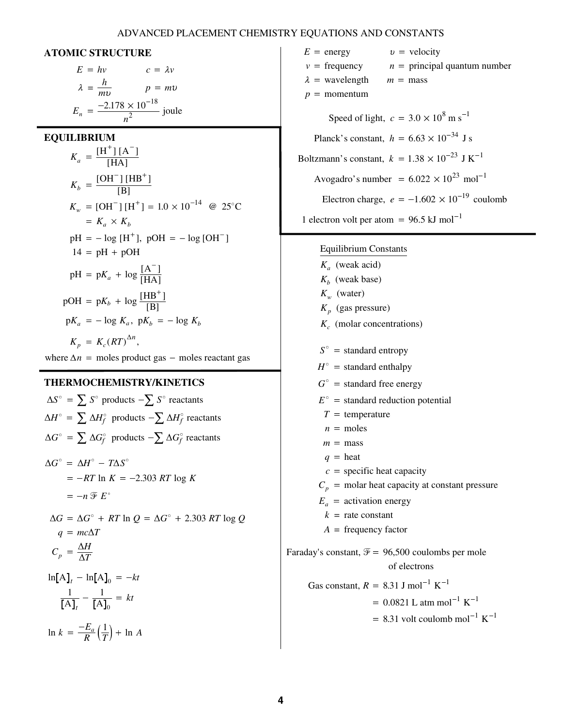### ADVANCED PLACEMENT CHEMISTRY EQUATIONS AND CONSTANTS

 $E =$  energy

#### **ATOMIC STRUCTURE**

$$
E = hv \t c = \lambda v
$$
  

$$
\lambda = \frac{h}{mv} \t p = mv
$$
  

$$
E_n = \frac{-2.178 \times 10^{-18}}{n^2} \text{ joule}
$$
  
**LIBRIUM**  

$$
W^+ M \lambda^{-1}
$$

**EQUILIBRIUM** 

$$
K_a = \frac{[H^+][A^-]}{[HA]}
$$
  
\n
$$
K_b = \frac{[OH^-][HB^+]}{[B]}
$$
  
\n
$$
K_w = [OH^-][H^+] = 1.0 \times 10^{-14} \text{ @ } 25^{\circ}\text{C}
$$
  
\n
$$
= K_a \times K_b
$$
  
\n
$$
pH = -\log [H^+], \text{ pOH} = -\log [OH^-]
$$
  
\n
$$
14 = pH + pOH
$$
  
\n
$$
pH = pK_a + \log \frac{[A^-]}{[HA]}
$$
  
\n
$$
pOH = pK_b + \log \frac{[HB^+]}{[B]}
$$
  
\n
$$
pK_a = -\log K_a, \text{ } pK_b = -\log K_b
$$
  
\n
$$
K_p = K_c (RT)^{\Delta n},
$$

where  $\Delta n$  = moles product gas – moles reactant gas

#### **THERMOCHEMISTRY/KINETICS**

| $\Delta S^{\circ}$ = $\sum S^{\circ}$ products $-\sum S^{\circ}$ reactants                   |
|----------------------------------------------------------------------------------------------|
| $\Delta H^{\circ} = \sum \Delta H_f^{\circ}$ products $-\sum \Delta H_f^{\circ}$ reactants   |
| $\Delta G^{\circ}$ = $\sum \Delta G_f^{\circ}$ products $-\sum \Delta G_f^{\circ}$ reactants |
| $\Delta G^{\circ} = \Delta H^{\circ} - T \Delta S^{\circ}$                                   |
| $= -RT \ln K = -2.303 RT \log K$                                                             |
| $= -n \mathcal{F} E^{\circ}$                                                                 |
| $\Delta G = \Delta G^{\circ} + RT \ln Q = \Delta G^{\circ} + 2.303 RT \log Q$                |
| $q = mc\Delta T$                                                                             |
| $C_p = \frac{\Delta H}{\Delta T}$                                                            |
| $\ln[A]_t - \ln[A]_0 = -kt$                                                                  |
| $\frac{1}{[A]_c} - \frac{1}{[A]_o} = kt$                                                     |
| $\ln k = \frac{-E_a}{R} \left( \frac{1}{T} \right) + \ln A$                                  |
|                                                                                              |

 $v = \text{frequency}$   $n =$  $m =$  mass  $p =$  momentum  $=$  wavelength  $m =$  mass  $\begin{aligned}\n\text{frequency} \quad n = \text{principal quantum number}\n\end{aligned}$ Speed of light,  $c = 3.0 \times 10^8 \text{ m s}^{-1}$ Planck's constant,  $h = 6.63 \times 10^{-34}$  J s Boltzmann's constant,  $k = 1.38 \times 10^{-23}$  J K<sup>-1</sup> Avogadro's number =  $6.022 \times 10^{23}$  mol<sup>-1</sup> Electron charge,  $e = -1.602 \times 10^{-19}$  coulomb 1 electron volt per atom =  $96.5$  kJ mol<sup>-1</sup> J<br>J  $\frac{1}{2}$  $^{12}$  J K<br>0<sup>23</sup> mol<br>10<sup>-19</sup> co .<br>0 -1<br>-

 $v =$  velocity

### Equilibrium Constants

- (weak acid) *K a*  $K_b$  (weak base)  $K_w$  (water) (gas pressure) *K p* (molar concentrations) *K c*  $S^{\circ}$  = standard entropy  $H^{\circ}$ *G E*  $T =$  temperature  $n = \text{moles}$  $m = \text{mass}$  $q = \text{heat}$  $c =$  specific heat capacity  $C_p$  = molar heat capacity at constant pressure  $E_a$  = activation energy  $k =$  rate constant *A* = frequency factor  $=$  standard enthalpy = standard free energy = standard reduction potential Faraday's constant,  $\mathcal{F} = 96,500$  coulombs per mole of electrons

Gas constant,  $R = 8.31$  J mol<sup>-1</sup> K<sup>-1</sup> =  $0.0821$  L atm mol<sup>-1</sup> K<sup>-1</sup> K<br>tm mo<br>oulom

 $= 8.31$  volt coulomb mol<sup>-1</sup> K  $-K$ <br>mol<sup>-</sup> 8.31 volt coulomb mol<sup>-1</sup>  $K^{-1}$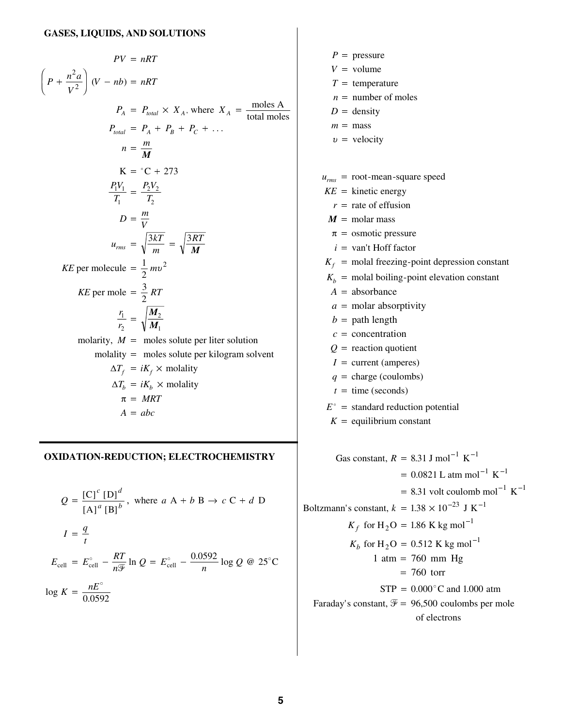$$
PV = nRT
$$
\n
$$
\left(P + \frac{n^2 a}{V^2}\right)(V - nb) = nRT
$$
\n
$$
P_A = P_{total} \times X_A, \text{ where } X_A = \frac{\text{moles A}}{\text{total moles}}
$$
\n
$$
P_{total} = P_A + P_B + P_C + \dots
$$
\n
$$
n = \frac{m}{M}
$$
\n
$$
K = {}^{\circ}C + 273
$$
\n
$$
\frac{P_1V_1}{T_1} = \frac{P_2V_2}{T_2}
$$
\n
$$
D = \frac{m}{V}
$$
\n
$$
u_{rms} = \sqrt{\frac{3kT}{M}} = \sqrt{\frac{3RT}{M}}
$$
\n
$$
KE \text{ per molecule } = \frac{1}{2}mv^2
$$
\n
$$
KE \text{ per mole } = \frac{3}{2}RT
$$
\n
$$
\frac{r_1}{r_2} = \sqrt{\frac{M_2}{M_1}}
$$
\n
$$
\text{molarity}, M = \text{moles solute per liter solution}
$$
\n
$$
\text{molarity} = \text{moles solute per kilogram solvent}
$$
\n
$$
\Delta T_f = iK_f \times \text{molality}
$$
\n
$$
\pi = MRT
$$
\n
$$
A = abc
$$

#### **OXIDATION-REDUCTION; ELECTROCHEMISTRY**

$$
Q = \frac{[C]^c [D]^d}{[A]^a [B]^b}, \text{ where } a A + b B \rightarrow c C + d D
$$
  

$$
I = \frac{q}{t}
$$
  

$$
E_{cell} = E_{cell}^{\circ} - \frac{RT}{n^{\frac{m}{2}}} \ln Q = E_{cell}^{\circ} - \frac{0.0592}{n} \log Q \text{ @ } 25^{\circ}C
$$
  

$$
\log K = \frac{nE^{\circ}}{0.0592}
$$

 $P =$  pressure  $V = \text{volume}$  $T =$  temperature  $n =$  number of moles  $D =$  density  $m = \text{mass}$  $v =$  velocity  $u_{rms}$  = root-mean-square speed  $KE$  = kinetic energy  $r =$  rate of effusion  $i = \text{van}$ <sup>t</sup> Hoff factor  $K_f$  = molal freezing-point depression constant  $K_b$  = molal boiling-point elevation constant  $Q =$  reaction quotient  $I =$  current (amperes)  $q = \text{charge} (\text{coulombs})$  $t = \text{time}$  (seconds)  $E^{\circ}$  = standard reduction potential  $K =$  equilibrium constant  $\stackrel{\circ}{A}$  = absorbance  $a =$  molar absorptivity  $b =$  path length  $c =$  concentration  $M = \text{molar mass}$ = osmotic pressure Gas constant,  $R = 8.31$  J mol<sup>-1</sup> K<sup>-1</sup> L atm mol $^{-1}$  K volt coulomb mol $^{-1}$  K Boltzmann's constant,  $k = 1.38 \times 10^{-25}$  J K  $K_f$  for H<sub>2</sub>O = 1.86 K kg mol  $K_b$  for H<sub>2</sub>O = 0.512 K kg mol  $1 \text{ atm} = 760 \text{ mm Hg}$  $= 8.31 \text{ J} \text{ mol}^{-1} \text{ K}$ <br>= 0.0821 L atm mo<br>= 8.31 volt coulom = 0.0821 L atm mol K<br>
= 8.31 volt coulomb mol<sup>-1</sup><br>
= 1.38 × 10<sup>-23</sup> J K<sup>-1</sup> 8.31 volt coulomb mol<sup>-1</sup> K<sup>-1</sup><br>1.38 × 10<sup>-23</sup> J K<sup>-1</sup><br>1.86 K kg mol<sup>-1</sup>  $L, k = 1.38 \times 10^{-3}$  J K<br>  $_2$ O = 1.86 K kg mol<sup>-1</sup><br>  $_2$ O = 0.512 K kg mol<sup>-1</sup>  $\overline{a}$ -<br>-<br>"  $0.0821$  L atm mol<sup>-1</sup> K<sup>-1</sup>  $1.38 \times 10^{-23}$  J K<sup>-1</sup>  $_2$ O = 1.86 K kg mol<sup>-1</sup>

 $STP = 0.000^{\circ}$ C and 1.000 atm

of electrons

Faraday's constant,  $\mathcal{F} = 96,500$  coulombs per mole

 $= 760$  torr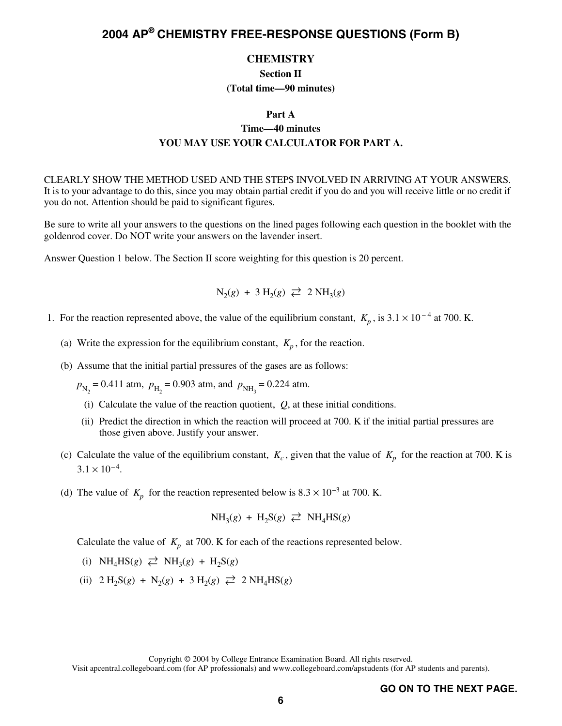### **CHEMISTRY**

**Section II (Total time—90 minutes)** 

## **Part A Time—40 minutes YOU MAY USE YOUR CALCULATOR FOR PART A.**

CLEARLY SHOW THE METHOD USED AND THE STEPS INVOLVED IN ARRIVING AT YOUR ANSWERS. It is to your advantage to do this, since you may obtain partial credit if you do and you will receive little or no credit if you do not. Attention should be paid to significant figures.

Be sure to write all your answers to the questions on the lined pages following each question in the booklet with the goldenrod cover. Do NOT write your answers on the lavender insert.

Answer Question 1 below. The Section II score weighting for this question is 20 percent.

$$
N_2(g) + 3 H_2(g) \rightleftarrows 2 NH_3(g)
$$

- 1. For the reaction represented above, the value of the equilibrium constant,  $K_p$ , is  $3.1 \times 10^{-4}$  at 700. K.
	- (a) Write the expression for the equilibrium constant,  $K_p$ , for the reaction.
	- (b) Assume that the initial partial pressures of the gases are as follows:
		- $p_{\text{N}_2}$  = 0.411 atm,  $p_{\text{H}_2}$  = 0.903 atm, and  $p_{\text{NH}_3}$  = 0.224 atm.
		- (i) Calculate the value of the reaction quotient, *Q*, at these initial conditions.
		- (ii) Predict the direction in which the reaction will proceed at 700. K if the initial partial pressures are those given above. Justify your answer.
	- (c) Calculate the value of the equilibrium constant,  $K_c$ , given that the value of  $K_p$  for the reaction at 700. K is  $3.1 \times 10^{-4}$ .
	- (d) The value of  $K_p$  for the reaction represented below is  $8.3 \times 10^{-3}$  at 700. K.

$$
NH_3(g) + H_2S(g) \ncong NH_4HS(g)
$$

Calculate the value of  $K_p$  at 700. K for each of the reactions represented below.

- (i)  $NH_4HS(g) \rightleftarrows NH_3(g) + H_2S(g)$
- $(ii)$  2 H<sub>2</sub>S(*g*) + N<sub>2</sub>(*g*) + 3 H<sub>2</sub>(*g*)  $\rightleftarrows$  2 NH<sub>4</sub>HS(*g*)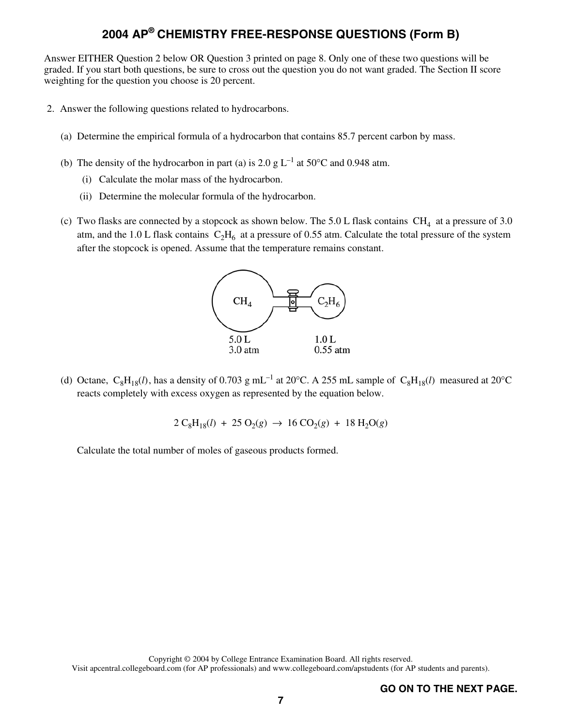Answer EITHER Question 2 below OR Question 3 printed on page 8. Only one of these two questions will be graded. If you start both questions, be sure to cross out the question you do not want graded. The Section II score weighting for the question you choose is 20 percent.

- 2. Answer the following questions related to hydrocarbons.
	- (a) Determine the empirical formula of a hydrocarbon that contains 85.7 percent carbon by mass.
	- (b) The density of the hydrocarbon in part (a) is 2.0 g  $L^{-1}$  at 50°C and 0.948 atm.
		- (i) Calculate the molar mass of the hydrocarbon.
		- (ii) Determine the molecular formula of the hydrocarbon.
	- (c) Two flasks are connected by a stopcock as shown below. The 5.0 L flask contains  $CH_4$  at a pressure of 3.0 atm, and the 1.0 L flask contains  $C_2H_6$  at a pressure of 0.55 atm. Calculate the total pressure of the system after the stopcock is opened. Assume that the temperature remains constant.



(d) Octane,  $C_8H_{18}(l)$ , has a density of 0.703 g mL<sup>-1</sup> at 20°C. A 255 mL sample of  $C_8H_{18}(l)$  measured at 20°C reacts completely with excess oxygen as represented by the equation below.

$$
2\,\mathrm{C}_8\mathrm{H}_{18}(l)\,+\,25\,\mathrm{O}_2(g)\,\rightarrow\,16\,\mathrm{CO}_2(g)\,+\,18\,\mathrm{H}_2\mathrm{O}(g)
$$

Calculate the total number of moles of gaseous products formed.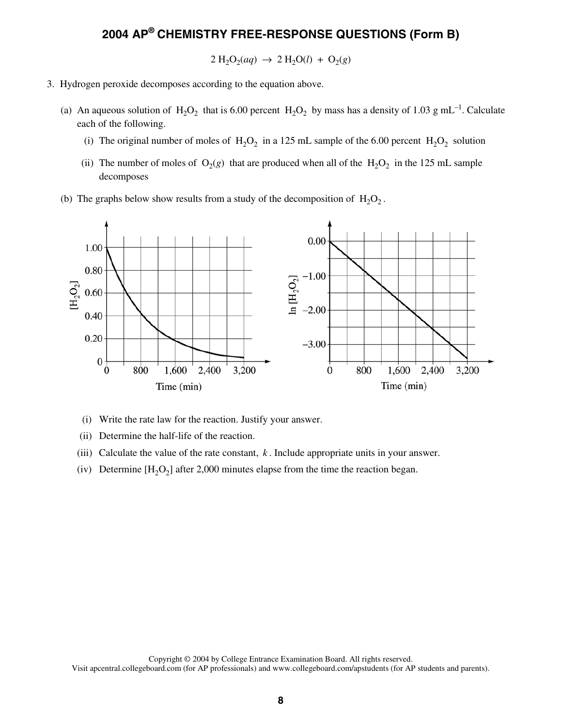$2 \text{ H}_2\text{O}_2(aq) \rightarrow 2 \text{ H}_2\text{O}(l) + \text{O}_2(g)$ 

- 3. Hydrogen peroxide decomposes according to the equation above.
	- (a) An aqueous solution of  $H_2O_2$  that is 6.00 percent  $H_2O_2$  by mass has a density of 1.03 g mL<sup>-1</sup>. Calculate each of the following.
		- (i) The original number of moles of  $H_2O_2$  in a 125 mL sample of the 6.00 percent  $H_2O_2$  solution
		- (ii) The number of moles of  $O_2(g)$  that are produced when all of the  $H_2O_2$  in the 125 mL sample decomposes
	- (b) The graphs below show results from a study of the decomposition of  $H_2O_2$ .



- (i) Write the rate law for the reaction. Justify your answer.
- (ii) Determine the half-life of the reaction.
- (iii) Calculate the value of the rate constant, *k* . Include appropriate units in your answer.
- (iv) Determine  $[H_2O_2]$  after 2,000 minutes elapse from the time the reaction began.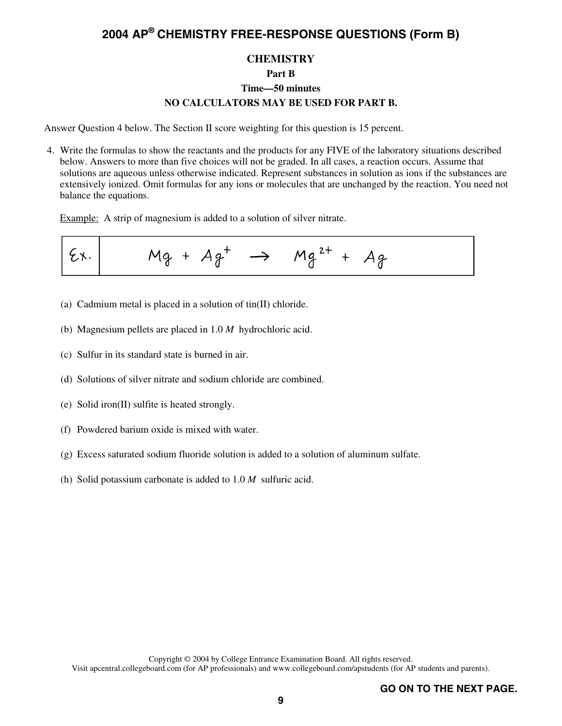### **CHEMISTRY**

### **Part B**

## **Time—50 minutes NO CALCULATORS MAY BE USED FOR PART B.**

Answer Question 4 below. The Section II score weighting for this question is 15 percent.

 4. Write the formulas to show the reactants and the products for any FIVE of the laboratory situations described below. Answers to more than five choices will not be graded. In all cases, a reaction occurs. Assume that solutions are aqueous unless otherwise indicated. Represent substances in solution as ions if the substances are extensively ionized. Omit formulas for any ions or molecules that are unchanged by the reaction. You need not balance the equations.

Example: A strip of magnesium is added to a solution of silver nitrate.



- (a) Cadmium metal is placed in a solution of tin(II) chloride.
- (b) Magnesium pellets are placed in 1.0 *M* hydrochloric acid.
- (c) Sulfur in its standard state is burned in air.
- (d) Solutions of silver nitrate and sodium chloride are combined.
- (e) Solid iron(II) sulfite is heated strongly.
- (f) Powdered barium oxide is mixed with water.
- (g) Excess saturated sodium fluoride solution is added to a solution of aluminum sulfate.
- (h) Solid potassium carbonate is added to 1.0 *M* sulfuric acid.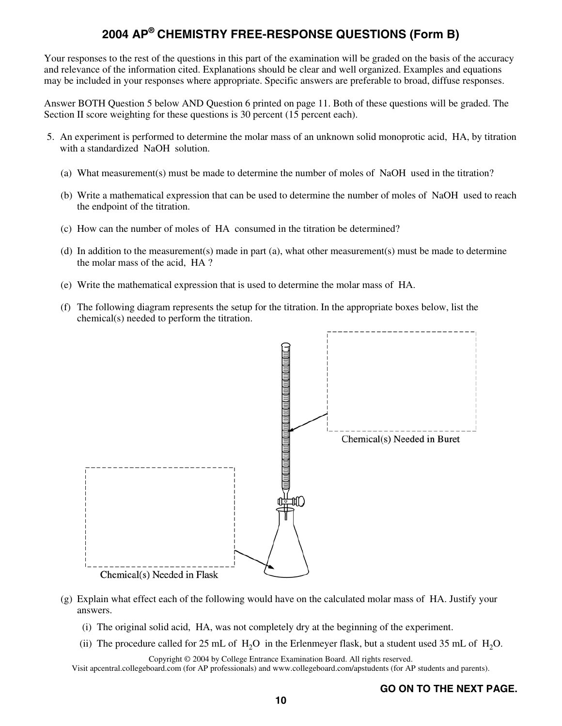Your responses to the rest of the questions in this part of the examination will be graded on the basis of the accuracy and relevance of the information cited. Explanations should be clear and well organized. Examples and equations may be included in your responses where appropriate. Specific answers are preferable to broad, diffuse responses.

Answer BOTH Question 5 below AND Question 6 printed on page 11. Both of these questions will be graded. The Section II score weighting for these questions is 30 percent (15 percent each).

- 5. An experiment is performed to determine the molar mass of an unknown solid monoprotic acid, HA, by titration with a standardized NaOH solution.
	- (a) What measurement(s) must be made to determine the number of moles of NaOH used in the titration?
	- (b) Write a mathematical expression that can be used to determine the number of moles of NaOH used to reach the endpoint of the titration.
	- (c) How can the number of moles of HA consumed in the titration be determined?
	- (d) In addition to the measurement(s) made in part (a), what other measurement(s) must be made to determine the molar mass of the acid, HA ?
	- (e) Write the mathematical expression that is used to determine the molar mass of HA.
	- (f) The following diagram represents the setup for the titration. In the appropriate boxes below, list the chemical(s) needed to perform the titration.



- (g) Explain what effect each of the following would have on the calculated molar mass of HA. Justify your answers.
	- (i) The original solid acid, HA, was not completely dry at the beginning of the experiment.
	- (ii) The procedure called for 25 mL of  $H_2O$  in the Erlenmeyer flask, but a student used 35 mL of  $H_2O$ .

Copyright © 2004 by College Entrance Examination Board. All rights reserved.

Visit apcentral.collegeboard.com (for AP professionals) and www.collegeboard.com/apstudents (for AP students and parents).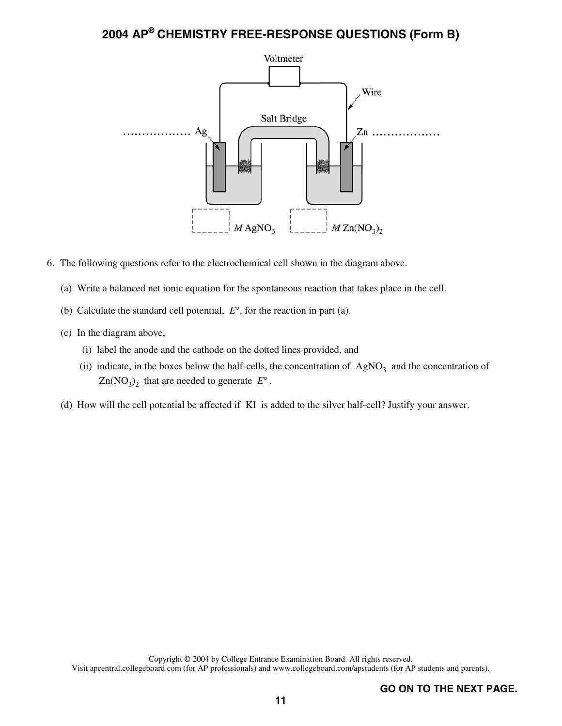

- 6. The following questions refer to the electrochemical cell shown in the diagram above.
	- (a) Write a balanced net ionic equation for the spontaneous reaction that takes place in the cell.
	- (b) Calculate the standard cell potential, *E*°, for the reaction in part (a).
	- (c) In the diagram above,
		- (i) label the anode and the cathode on the dotted lines provided, and
		- (ii) indicate, in the boxes below the half-cells, the concentration of  $AgNO<sub>3</sub>$  and the concentration of  $Zn(NO<sub>3</sub>)<sub>2</sub>$  that are needed to generate  $E<sup>o</sup>$ .
	- (d) How will the cell potential be affected if KI is added to the silver half-cell? Justify your answer.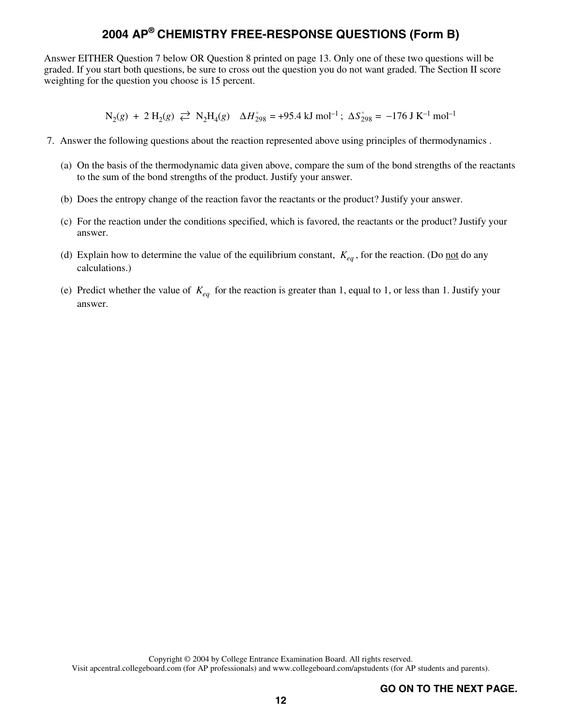Answer EITHER Question 7 below OR Question 8 printed on page 13. Only one of these two questions will be graded. If you start both questions, be sure to cross out the question you do not want graded. The Section II score weighting for the question you choose is 15 percent.

 $N_2(g) + 2 H_2(g) \rightleftarrows N_2H_4(g)$   $\Delta H_{298}^{\circ} = +95.4 \text{ kJ mol}^{-1}$ ;  $\Delta S_{298}^{\circ} = -176 \text{ J K}^{-1} \text{ mol}^{-1}$ 

- 7. Answer the following questions about the reaction represented above using principles of thermodynamics .
	- (a) On the basis of the thermodynamic data given above, compare the sum of the bond strengths of the reactants to the sum of the bond strengths of the product. Justify your answer.
	- (b) Does the entropy change of the reaction favor the reactants or the product? Justify your answer.
	- (c) For the reaction under the conditions specified, which is favored, the reactants or the product? Justify your answer.
	- (d) Explain how to determine the value of the equilibrium constant,  $K_{ea}$ , for the reaction. (Do <u>not</u> do any calculations.)
	- (e) Predict whether the value of  $K_{eq}$  for the reaction is greater than 1, equal to 1, or less than 1. Justify your answer.